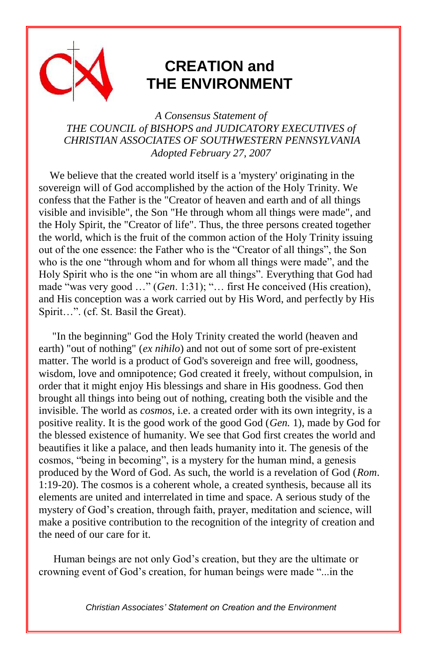

## **CREATION and THE ENVIRONMENT**

*A Consensus Statement of THE COUNCIL of BISHOPS and JUDICATORY EXECUTIVES of CHRISTIAN ASSOCIATES OF SOUTHWESTERN PENNSYLVANIA Adopted February 27, 2007* 

 We believe that the created world itself is a 'mystery' originating in the sovereign will of God accomplished by the action of the Holy Trinity. We confess that the Father is the "Creator of heaven and earth and of all things visible and invisible", the Son "He through whom all things were made", and the Holy Spirit, the "Creator of life". Thus, the three persons created together the world, which is the fruit of the common action of the Holy Trinity issuing out of the one essence: the Father who is the "Creator of all things", the Son who is the one "through whom and for whom all things were made", and the Holy Spirit who is the one "in whom are all things". Everything that God had made "was very good …" (*Gen*. 1:31); "… first He conceived (His creation), and His conception was a work carried out by His Word, and perfectly by His Spirit…". (cf. St. Basil the Great).

 "In the beginning" God the Holy Trinity created the world (heaven and earth) "out of nothing" (*ex nihilo*) and not out of some sort of pre-existent matter. The world is a product of God's sovereign and free will, goodness, wisdom, love and omnipotence; God created it freely, without compulsion, in order that it might enjoy His blessings and share in His goodness. God then brought all things into being out of nothing, creating both the visible and the invisible. The world as *cosmos*, i.e. a created order with its own integrity, is a positive reality. It is the good work of the good God (*Gen.* 1), made by God for the blessed existence of humanity. We see that God first creates the world and beautifies it like a palace, and then leads humanity into it. The genesis of the cosmos, "being in becoming", is a mystery for the human mind, a genesis produced by the Word of God. As such, the world is a revelation of God (*Rom*. 1:19-20). The cosmos is a coherent whole, a created synthesis, because all its elements are united and interrelated in time and space. A serious study of the mystery of God's creation, through faith, prayer, meditation and science, will make a positive contribution to the recognition of the integrity of creation and the need of our care for it.

Human beings are not only God's creation, but they are the ultimate or crowning event of God's creation, for human beings were made "...in the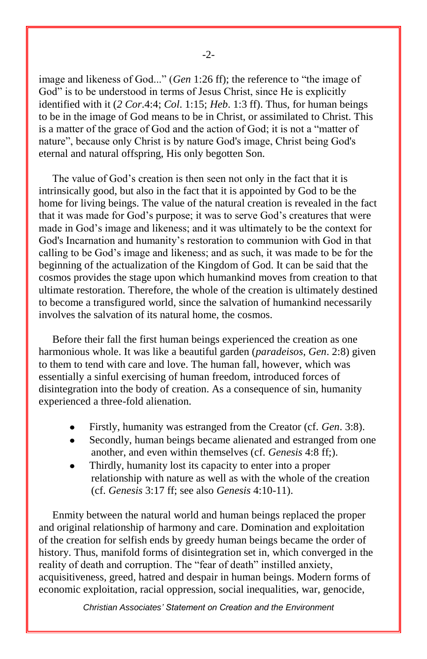image and likeness of God..." (*Gen* 1:26 ff); the reference to "the image of God" is to be understood in terms of Jesus Christ, since He is explicitly identified with it (*2 Cor*.4:4; *Col*. 1:15; *Heb*. 1:3 ff). Thus, for human beings to be in the image of God means to be in Christ, or assimilated to Christ. This is a matter of the grace of God and the action of God; it is not a "matter of nature", because only Christ is by nature God's image, Christ being God's eternal and natural offspring, His only begotten Son.

 The value of God's creation is then seen not only in the fact that it is intrinsically good, but also in the fact that it is appointed by God to be the home for living beings. The value of the natural creation is revealed in the fact that it was made for God's purpose; it was to serve God's creatures that were made in God's image and likeness; and it was ultimately to be the context for God's Incarnation and humanity's restoration to communion with God in that calling to be God's image and likeness; and as such, it was made to be for the beginning of the actualization of the Kingdom of God. It can be said that the cosmos provides the stage upon which humankind moves from creation to that ultimate restoration. Therefore, the whole of the creation is ultimately destined to become a transfigured world, since the salvation of humankind necessarily involves the salvation of its natural home, the cosmos.

 Before their fall the first human beings experienced the creation as one harmonious whole. It was like a beautiful garden (*paradeisos*, *Gen*. 2:8) given to them to tend with care and love. The human fall, however, which was essentially a sinful exercising of human freedom, introduced forces of disintegration into the body of creation. As a consequence of sin, humanity experienced a three-fold alienation.

- Firstly, humanity was estranged from the Creator (cf. *Gen*. 3:8).
- Secondly, human beings became alienated and estranged from one another, and even within themselves (cf. *Genesis* 4:8 ff;).
- Thirdly, humanity lost its capacity to enter into a proper relationship with nature as well as with the whole of the creation (cf. *Genesis* 3:17 ff; see also *Genesis* 4:10-11).

 Enmity between the natural world and human beings replaced the proper and original relationship of harmony and care. Domination and exploitation of the creation for selfish ends by greedy human beings became the order of history. Thus, manifold forms of disintegration set in, which converged in the reality of death and corruption. The "fear of death" instilled anxiety, acquisitiveness, greed, hatred and despair in human beings. Modern forms of economic exploitation, racial oppression, social inequalities, war, genocide,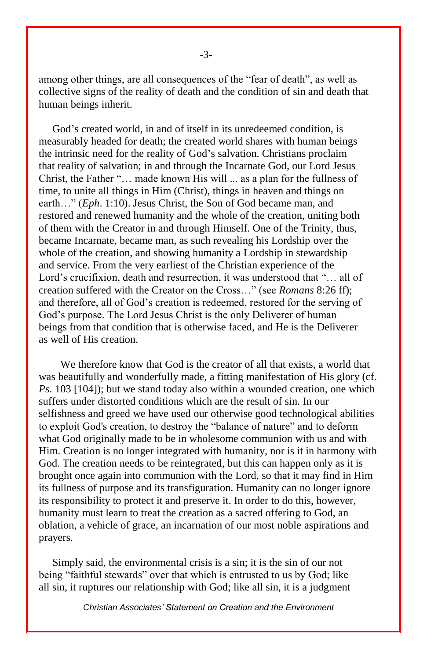among other things, are all consequences of the "fear of death", as well as collective signs of the reality of death and the condition of sin and death that human beings inherit.

 God's created world, in and of itself in its unredeemed condition, is measurably headed for death; the created world shares with human beings the intrinsic need for the reality of God's salvation. Christians proclaim that reality of salvation; in and through the Incarnate God, our Lord Jesus Christ, the Father "… made known His will ... as a plan for the fullness of time, to unite all things in Him (Christ), things in heaven and things on earth…" (*Eph*. 1:10). Jesus Christ, the Son of God became man, and restored and renewed humanity and the whole of the creation, uniting both of them with the Creator in and through Himself. One of the Trinity, thus, became Incarnate, became man, as such revealing his Lordship over the whole of the creation, and showing humanity a Lordship in stewardship and service. From the very earliest of the Christian experience of the Lord's crucifixion, death and resurrection, it was understood that "... all of creation suffered with the Creator on the Cross…" (see *Romans* 8:26 ff); and therefore, all of God's creation is redeemed, restored for the serving of God's purpose. The Lord Jesus Christ is the only Deliverer of human beings from that condition that is otherwise faced, and He is the Deliverer as well of His creation.

 We therefore know that God is the creator of all that exists, a world that was beautifully and wonderfully made, a fitting manifestation of His glory (cf. *Ps*. 103 [104]); but we stand today also within a wounded creation, one which suffers under distorted conditions which are the result of sin. In our selfishness and greed we have used our otherwise good technological abilities to exploit God's creation, to destroy the "balance of nature" and to deform what God originally made to be in wholesome communion with us and with Him. Creation is no longer integrated with humanity, nor is it in harmony with God. The creation needs to be reintegrated, but this can happen only as it is brought once again into communion with the Lord, so that it may find in Him its fullness of purpose and its transfiguration. Humanity can no longer ignore its responsibility to protect it and preserve it. In order to do this, however, humanity must learn to treat the creation as a sacred offering to God, an oblation, a vehicle of grace, an incarnation of our most noble aspirations and prayers.

 Simply said, the environmental crisis is a sin; it is the sin of our not being "faithful stewards" over that which is entrusted to us by God; like all sin, it ruptures our relationship with God; like all sin, it is a judgment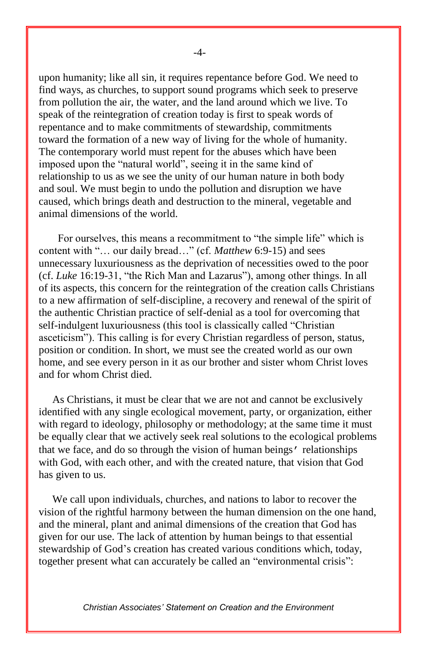upon humanity; like all sin, it requires repentance before God. We need to find ways, as churches, to support sound programs which seek to preserve from pollution the air, the water, and the land around which we live. To speak of the reintegration of creation today is first to speak words of repentance and to make commitments of stewardship, commitments toward the formation of a new way of living for the whole of humanity. The contemporary world must repent for the abuses which have been imposed upon the "natural world", seeing it in the same kind of relationship to us as we see the unity of our human nature in both body and soul. We must begin to undo the pollution and disruption we have caused, which brings death and destruction to the mineral, vegetable and animal dimensions of the world.

 For ourselves, this means a recommitment to "the simple life" which is content with "… our daily bread…" (cf. *Matthew* 6:9-15) and sees unnecessary luxuriousness as the deprivation of necessities owed to the poor (cf. *Luke* 16:19-31, "the Rich Man and Lazarus"), among other things. In all of its aspects, this concern for the reintegration of the creation calls Christians to a new affirmation of self-discipline, a recovery and renewal of the spirit of the authentic Christian practice of self-denial as a tool for overcoming that self-indulgent luxuriousness (this tool is classically called "Christian asceticism"). This calling is for every Christian regardless of person, status, position or condition. In short, we must see the created world as our own home, and see every person in it as our brother and sister whom Christ loves and for whom Christ died.

 As Christians, it must be clear that we are not and cannot be exclusively identified with any single ecological movement, party, or organization, either with regard to ideology, philosophy or methodology; at the same time it must be equally clear that we actively seek real solutions to the ecological problems that we face, and do so through the vision of human beings' relationships with God, with each other, and with the created nature, that vision that God has given to us.

 We call upon individuals, churches, and nations to labor to recover the vision of the rightful harmony between the human dimension on the one hand, and the mineral, plant and animal dimensions of the creation that God has given for our use. The lack of attention by human beings to that essential stewardship of God's creation has created various conditions which, today, together present what can accurately be called an "environmental crisis":

*Christian Associates' Statement on Creation and the Environment*

-4-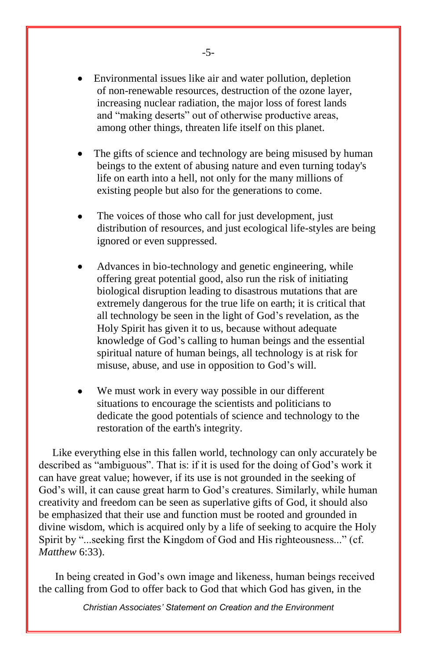- Environmental issues like air and water pollution, depletion of non-renewable resources, destruction of the ozone layer, increasing nuclear radiation, the major loss of forest lands and "making deserts" out of otherwise productive areas, among other things, threaten life itself on this planet.
- The gifts of science and technology are being misused by human beings to the extent of abusing nature and even turning today's life on earth into a hell, not only for the many millions of existing people but also for the generations to come.
- The voices of those who call for just development, just distribution of resources, and just ecological life-styles are being ignored or even suppressed.
- Advances in bio-technology and genetic engineering, while offering great potential good, also run the risk of initiating biological disruption leading to disastrous mutations that are extremely dangerous for the true life on earth; it is critical that all technology be seen in the light of God's revelation, as the Holy Spirit has given it to us, because without adequate knowledge of God's calling to human beings and the essential spiritual nature of human beings, all technology is at risk for misuse, abuse, and use in opposition to God's will.
- We must work in every way possible in our different situations to encourage the scientists and politicians to dedicate the good potentials of science and technology to the restoration of the earth's integrity.

 Like everything else in this fallen world, technology can only accurately be described as "ambiguous". That is: if it is used for the doing of God's work it can have great value; however, if its use is not grounded in the seeking of God's will, it can cause great harm to God's creatures. Similarly, while human creativity and freedom can be seen as superlative gifts of God, it should also be emphasized that their use and function must be rooted and grounded in divine wisdom, which is acquired only by a life of seeking to acquire the Holy Spirit by "...seeking first the Kingdom of God and His righteousness..." (cf. *Matthew* 6:33).

 In being created in God's own image and likeness, human beings received the calling from God to offer back to God that which God has given, in the